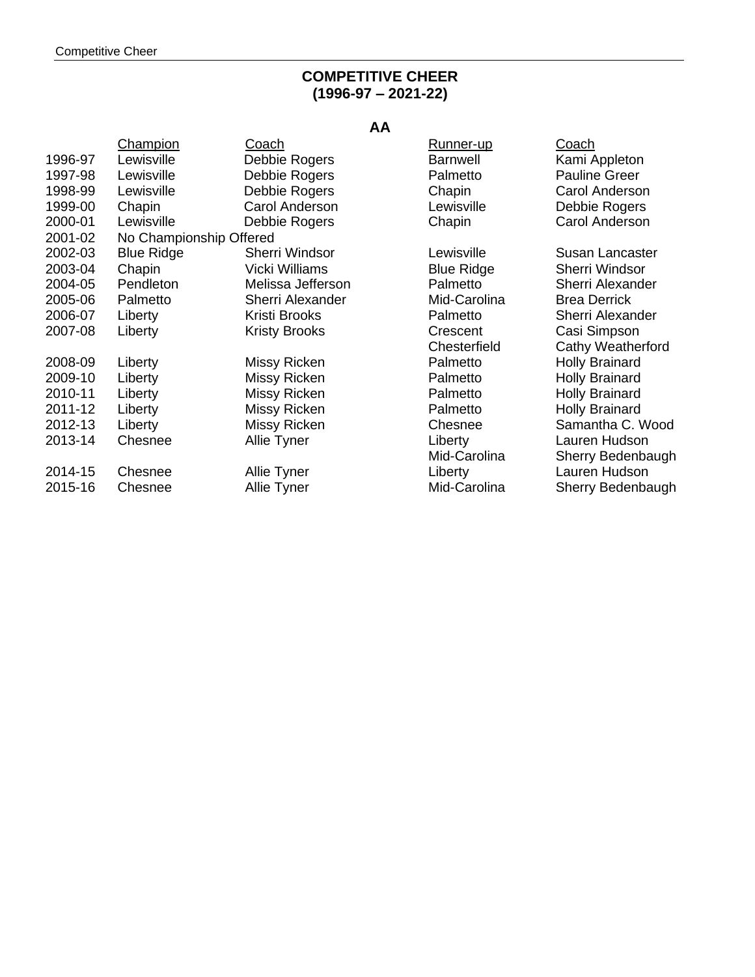## **COMPETITIVE CHEER (1996-97 – 2021-22)**

# **AA**

|         | Champion                | Coach                 | Runner-up         | Coach                 |
|---------|-------------------------|-----------------------|-------------------|-----------------------|
| 1996-97 | Lewisville              | Debbie Rogers         | <b>Barnwell</b>   | Kami Appleton         |
| 1997-98 | Lewisville              | Debbie Rogers         | Palmetto          | <b>Pauline Greer</b>  |
| 1998-99 | Lewisville              | Debbie Rogers         | Chapin            | Carol Anderson        |
| 1999-00 | Chapin                  | Carol Anderson        | Lewisville        | Debbie Rogers         |
| 2000-01 | Lewisville              | Debbie Rogers         | Chapin            | Carol Anderson        |
| 2001-02 | No Championship Offered |                       |                   |                       |
| 2002-03 | <b>Blue Ridge</b>       | <b>Sherri Windsor</b> | Lewisville        | Susan Lancaster       |
| 2003-04 | Chapin                  | Vicki Williams        | <b>Blue Ridge</b> | <b>Sherri Windsor</b> |
| 2004-05 | Pendleton               | Melissa Jefferson     | Palmetto          | Sherri Alexander      |
| 2005-06 | Palmetto                | Sherri Alexander      | Mid-Carolina      | <b>Brea Derrick</b>   |
| 2006-07 | Liberty                 | Kristi Brooks         | Palmetto          | Sherri Alexander      |
| 2007-08 | Liberty                 | <b>Kristy Brooks</b>  | Crescent          | Casi Simpson          |
|         |                         |                       | Chesterfield      | Cathy Weatherford     |
| 2008-09 | Liberty                 | Missy Ricken          | Palmetto          | <b>Holly Brainard</b> |
| 2009-10 | Liberty                 | Missy Ricken          | Palmetto          | <b>Holly Brainard</b> |
| 2010-11 | Liberty                 | Missy Ricken          | Palmetto          | <b>Holly Brainard</b> |
| 2011-12 | Liberty                 | Missy Ricken          | Palmetto          | <b>Holly Brainard</b> |
| 2012-13 | Liberty                 | Missy Ricken          | Chesnee           | Samantha C. Wood      |
| 2013-14 | Chesnee                 | Allie Tyner           | Liberty           | Lauren Hudson         |
|         |                         |                       | Mid-Carolina      | Sherry Bedenbaugh     |
| 2014-15 | Chesnee                 | Allie Tyner           | Liberty           | Lauren Hudson         |
| 2015-16 | Chesnee                 | Allie Tyner           | Mid-Carolina      | Sherry Bedenbaugh     |
|         |                         |                       |                   |                       |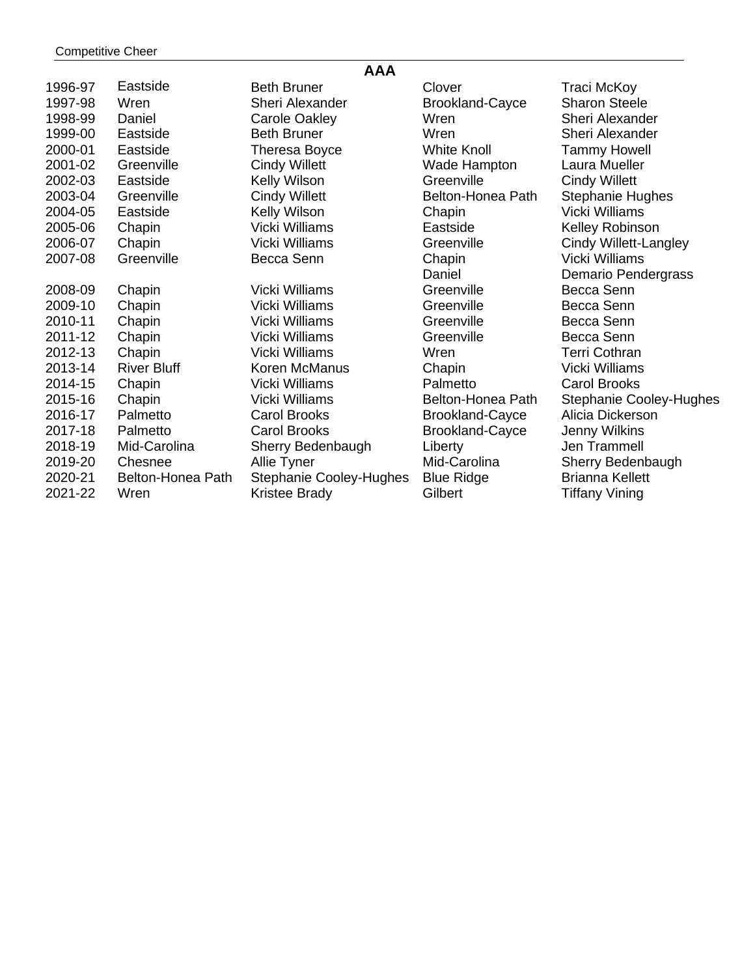| <b>AAA</b> |                    |                         |                        |                                |
|------------|--------------------|-------------------------|------------------------|--------------------------------|
| 1996-97    | Eastside           | <b>Beth Bruner</b>      | Clover                 | Traci McKoy                    |
| 1997-98    | Wren               | <b>Sheri Alexander</b>  | <b>Brookland-Cayce</b> | <b>Sharon Steele</b>           |
| 1998-99    | Daniel             | <b>Carole Oakley</b>    | Wren                   | Sheri Alexander                |
| 1999-00    | Eastside           | <b>Beth Bruner</b>      | Wren                   | Sheri Alexander                |
| 2000-01    | Eastside           | Theresa Boyce           | <b>White Knoll</b>     | <b>Tammy Howell</b>            |
| 2001-02    | Greenville         | <b>Cindy Willett</b>    | Wade Hampton           | Laura Mueller                  |
| 2002-03    | Eastside           | Kelly Wilson            | Greenville             | <b>Cindy Willett</b>           |
| 2003-04    | Greenville         | <b>Cindy Willett</b>    | Belton-Honea Path      | <b>Stephanie Hughes</b>        |
| 2004-05    | Eastside           | Kelly Wilson            | Chapin                 | <b>Vicki Williams</b>          |
| 2005-06    | Chapin             | <b>Vicki Williams</b>   | Eastside               | Kelley Robinson                |
| 2006-07    | Chapin             | <b>Vicki Williams</b>   | Greenville             | Cindy Willett-Langley          |
| 2007-08    | Greenville         | Becca Senn              | Chapin                 | <b>Vicki Williams</b>          |
|            |                    |                         | Daniel                 | Demario Pendergrass            |
| 2008-09    | Chapin             | <b>Vicki Williams</b>   | Greenville             | Becca Senn                     |
| 2009-10    | Chapin             | <b>Vicki Williams</b>   | Greenville             | Becca Senn                     |
| 2010-11    | Chapin             | <b>Vicki Williams</b>   | Greenville             | Becca Senn                     |
| 2011-12    | Chapin             | <b>Vicki Williams</b>   | Greenville             | Becca Senn                     |
| 2012-13    | Chapin             | <b>Vicki Williams</b>   | Wren                   | Terri Cothran                  |
| 2013-14    | <b>River Bluff</b> | Koren McManus           | Chapin                 | <b>Vicki Williams</b>          |
| 2014-15    | Chapin             | <b>Vicki Williams</b>   | Palmetto               | <b>Carol Brooks</b>            |
| 2015-16    | Chapin             | Vicki Williams          | Belton-Honea Path      | <b>Stephanie Cooley-Hughes</b> |
| 2016-17    | Palmetto           | <b>Carol Brooks</b>     | <b>Brookland-Cayce</b> | Alicia Dickerson               |
| 2017-18    | Palmetto           | <b>Carol Brooks</b>     | <b>Brookland-Cayce</b> | Jenny Wilkins                  |
| 2018-19    | Mid-Carolina       | Sherry Bedenbaugh       | Liberty                | Jen Trammell                   |
| 2019-20    | Chesnee            | Allie Tyner             | Mid-Carolina           | Sherry Bedenbaugh              |
| 2020-21    | Belton-Honea Path  | Stephanie Cooley-Hughes | <b>Blue Ridge</b>      | <b>Brianna Kellett</b>         |
| 2021-22    | Wren               | Kristee Brady           | Gilbert                | <b>Tiffany Vining</b>          |
|            |                    |                         |                        |                                |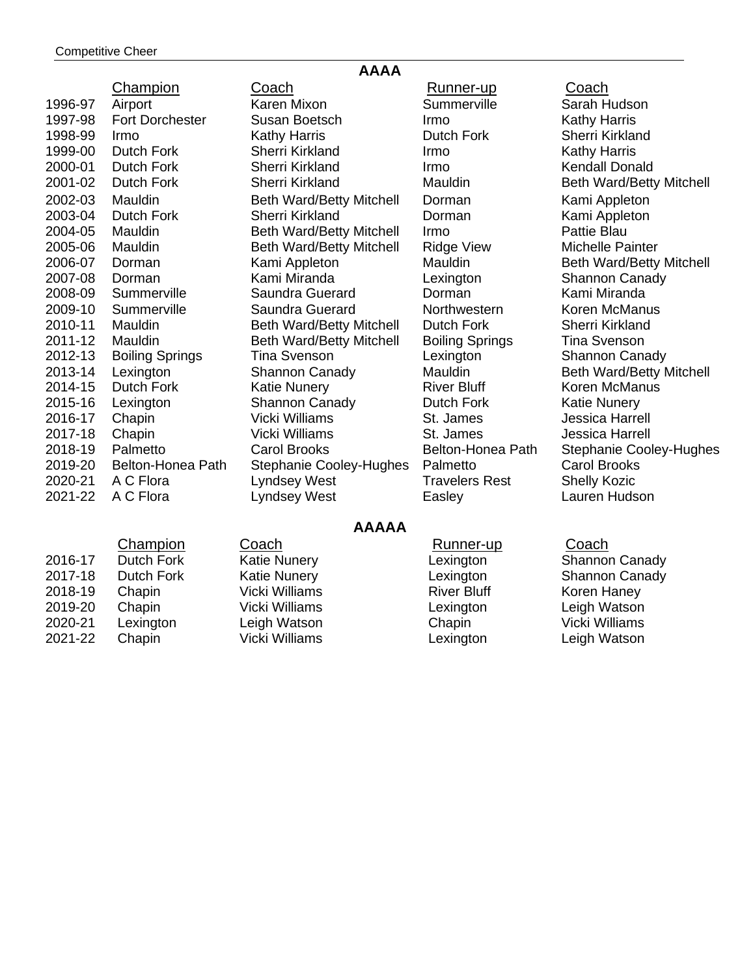| <b>AAAA</b> |                        |                                 |                        |                                 |
|-------------|------------------------|---------------------------------|------------------------|---------------------------------|
|             | Champion               | Coach                           | <u>Runner-up</u>       | Coach                           |
| 1996-97     | Airport                | Karen Mixon                     | Summerville            | Sarah Hudson                    |
| 1997-98     | <b>Fort Dorchester</b> | Susan Boetsch                   | Irmo                   | <b>Kathy Harris</b>             |
| 1998-99     | Irmo                   | <b>Kathy Harris</b>             | Dutch Fork             | <b>Sherri Kirkland</b>          |
| 1999-00     | Dutch Fork             | Sherri Kirkland                 | Irmo                   | <b>Kathy Harris</b>             |
| 2000-01     | <b>Dutch Fork</b>      | Sherri Kirkland                 | Irmo                   | <b>Kendall Donald</b>           |
| 2001-02     | Dutch Fork             | Sherri Kirkland                 | Mauldin                | <b>Beth Ward/Betty Mitchell</b> |
| 2002-03     | Mauldin                | <b>Beth Ward/Betty Mitchell</b> | Dorman                 | Kami Appleton                   |
| 2003-04     | Dutch Fork             | Sherri Kirkland                 | Dorman                 | Kami Appleton                   |
| 2004-05     | Mauldin                | <b>Beth Ward/Betty Mitchell</b> | Irmo                   | Pattie Blau                     |
| 2005-06     | Mauldin                | <b>Beth Ward/Betty Mitchell</b> | <b>Ridge View</b>      | Michelle Painter                |
| 2006-07     | Dorman                 | Kami Appleton                   | Mauldin                | <b>Beth Ward/Betty Mitchell</b> |
| 2007-08     | Dorman                 | Kami Miranda                    | Lexington              | <b>Shannon Canady</b>           |
| 2008-09     | Summerville            | Saundra Guerard                 | Dorman                 | Kami Miranda                    |
| 2009-10     | Summerville            | Saundra Guerard                 | Northwestern           | Koren McManus                   |
| 2010-11     | Mauldin                | <b>Beth Ward/Betty Mitchell</b> | Dutch Fork             | Sherri Kirkland                 |
| 2011-12     | Mauldin                | <b>Beth Ward/Betty Mitchell</b> | <b>Boiling Springs</b> | <b>Tina Svenson</b>             |
| 2012-13     | <b>Boiling Springs</b> | Tina Svenson                    | Lexington              | <b>Shannon Canady</b>           |
| 2013-14     | Lexington              | <b>Shannon Canady</b>           | Mauldin                | <b>Beth Ward/Betty Mitchell</b> |
| 2014-15     | Dutch Fork             | <b>Katie Nunery</b>             | <b>River Bluff</b>     | Koren McManus                   |
| 2015-16     | Lexington              | Shannon Canady                  | Dutch Fork             | <b>Katie Nunery</b>             |
| 2016-17     | Chapin                 | <b>Vicki Williams</b>           | St. James              | Jessica Harrell                 |
| 2017-18     | Chapin                 | <b>Vicki Williams</b>           | St. James              | <b>Jessica Harrell</b>          |
| 2018-19     | Palmetto               | <b>Carol Brooks</b>             | Belton-Honea Path      | <b>Stephanie Cooley-Hughes</b>  |
| 2019-20     | Belton-Honea Path      | <b>Stephanie Cooley-Hughes</b>  | Palmetto               | <b>Carol Brooks</b>             |
| 2020-21     | A C Flora              | Lyndsey West                    | <b>Travelers Rest</b>  | <b>Shelly Kozic</b>             |
| 2021-22     | A C Flora              | <b>Lyndsey West</b>             | Easley                 | Lauren Hudson                   |

# **AAAAA**

|         | Champion   | Coach               | Runner-up          | Coach                 |
|---------|------------|---------------------|--------------------|-----------------------|
| 2016-17 | Dutch Fork | <b>Katie Nunery</b> | Lexington          | <b>Shannon Canady</b> |
| 2017-18 | Dutch Fork | <b>Katie Nunery</b> | Lexington          | <b>Shannon Canady</b> |
| 2018-19 | Chapin     | Vicki Williams      | <b>River Bluff</b> | Koren Haney           |
| 2019-20 | Chapin     | Vicki Williams      | Lexington          | Leigh Watson          |
| 2020-21 | Lexington  | Leigh Watson        | Chapin             | Vicki Williams        |
| 2021-22 | Chapin     | Vicki Williams      | Lexington          | Leigh Watson          |